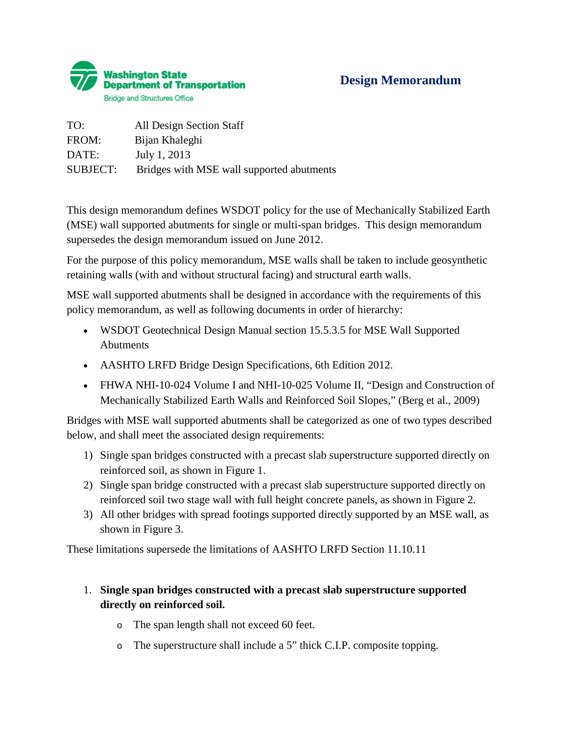

## **Design Memorandum**

| TO:             | All Design Section Staff                  |
|-----------------|-------------------------------------------|
| FROM:           | Bijan Khaleghi                            |
| DATE:           | July 1, 2013                              |
| <b>SUBJECT:</b> | Bridges with MSE wall supported abutments |

This design memorandum defines WSDOT policy for the use of Mechanically Stabilized Earth (MSE) wall supported abutments for single or multi-span bridges. This design memorandum supersedes the design memorandum issued on June 2012.

For the purpose of this policy memorandum, MSE walls shall be taken to include geosynthetic retaining walls (with and without structural facing) and structural earth walls.

MSE wall supported abutments shall be designed in accordance with the requirements of this policy memorandum, as well as following documents in order of hierarchy:

- WSDOT Geotechnical Design Manual section 15.5.3.5 for MSE Wall Supported Abutments
- AASHTO LRFD Bridge Design Specifications, 6th Edition 2012.
- FHWA NHI-10-024 Volume I and NHI-10-025 Volume II, "Design and Construction of Mechanically Stabilized Earth Walls and Reinforced Soil Slopes," (Berg et al., 2009)

Bridges with MSE wall supported abutments shall be categorized as one of two types described below, and shall meet the associated design requirements:

- 1) Single span bridges constructed with a precast slab superstructure supported directly on reinforced soil, as shown in Figure 1.
- 2) Single span bridge constructed with a precast slab superstructure supported directly on reinforced soil two stage wall with full height concrete panels, as shown in Figure 2.
- 3) All other bridges with spread footings supported directly supported by an MSE wall, as shown in Figure 3.

These limitations supersede the limitations of AASHTO LRFD Section 11.10.11

## 1. **Single span bridges constructed with a precast slab superstructure supported directly on reinforced soil.**

- o The span length shall not exceed 60 feet.
- o The superstructure shall include a 5" thick C.I.P. composite topping.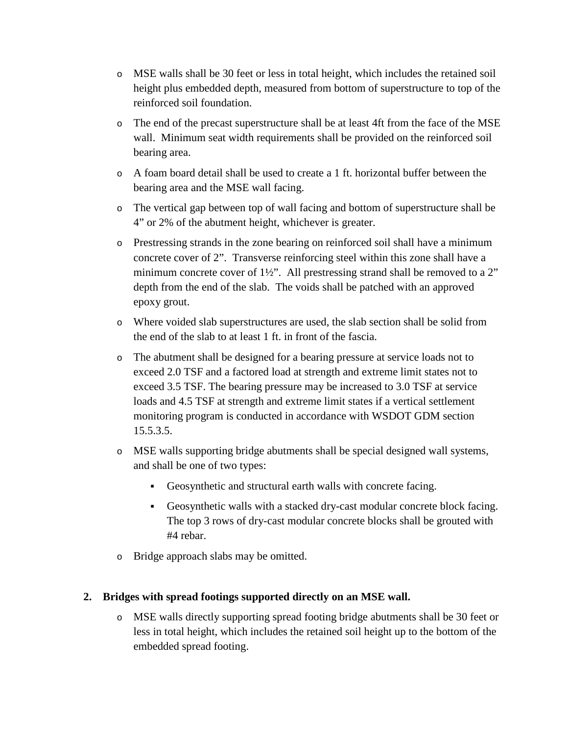- o MSE walls shall be 30 feet or less in total height, which includes the retained soil height plus embedded depth, measured from bottom of superstructure to top of the reinforced soil foundation.
- o The end of the precast superstructure shall be at least 4ft from the face of the MSE wall. Minimum seat width requirements shall be provided on the reinforced soil bearing area.
- o A foam board detail shall be used to create a 1 ft. horizontal buffer between the bearing area and the MSE wall facing.
- o The vertical gap between top of wall facing and bottom of superstructure shall be 4" or 2% of the abutment height, whichever is greater.
- o Prestressing strands in the zone bearing on reinforced soil shall have a minimum concrete cover of 2". Transverse reinforcing steel within this zone shall have a minimum concrete cover of 1½". All prestressing strand shall be removed to a 2" depth from the end of the slab. The voids shall be patched with an approved epoxy grout.
- o Where voided slab superstructures are used, the slab section shall be solid from the end of the slab to at least 1 ft. in front of the fascia.
- o The abutment shall be designed for a bearing pressure at service loads not to exceed 2.0 TSF and a factored load at strength and extreme limit states not to exceed 3.5 TSF. The bearing pressure may be increased to 3.0 TSF at service loads and 4.5 TSF at strength and extreme limit states if a vertical settlement monitoring program is conducted in accordance with WSDOT GDM section 15.5.3.5.
- o MSE walls supporting bridge abutments shall be special designed wall systems, and shall be one of two types:
	- Geosynthetic and structural earth walls with concrete facing.
	- Geosynthetic walls with a stacked dry-cast modular concrete block facing. The top 3 rows of dry-cast modular concrete blocks shall be grouted with #4 rebar.
- o Bridge approach slabs may be omitted.

## **2. Bridges with spread footings supported directly on an MSE wall.**

o MSE walls directly supporting spread footing bridge abutments shall be 30 feet or less in total height, which includes the retained soil height up to the bottom of the embedded spread footing.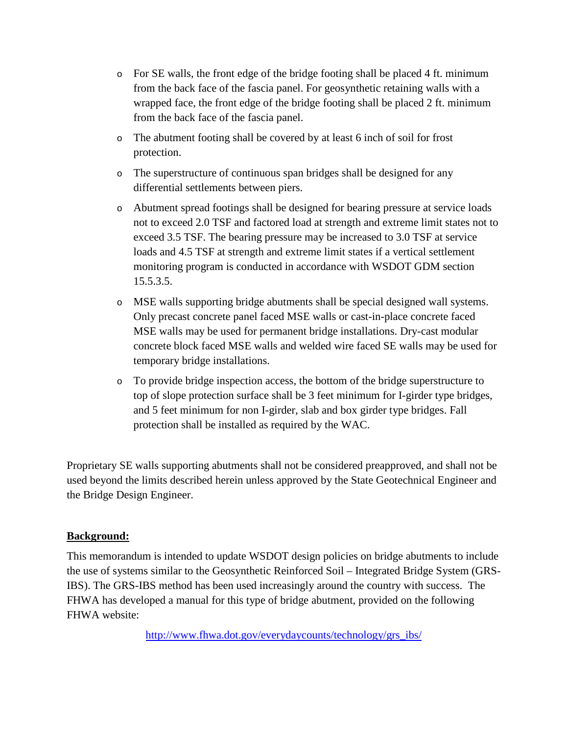- o For SE walls, the front edge of the bridge footing shall be placed 4 ft. minimum from the back face of the fascia panel. For geosynthetic retaining walls with a wrapped face, the front edge of the bridge footing shall be placed 2 ft. minimum from the back face of the fascia panel.
- o The abutment footing shall be covered by at least 6 inch of soil for frost protection.
- o The superstructure of continuous span bridges shall be designed for any differential settlements between piers.
- o Abutment spread footings shall be designed for bearing pressure at service loads not to exceed 2.0 TSF and factored load at strength and extreme limit states not to exceed 3.5 TSF. The bearing pressure may be increased to 3.0 TSF at service loads and 4.5 TSF at strength and extreme limit states if a vertical settlement monitoring program is conducted in accordance with WSDOT GDM section 15.5.3.5.
- o MSE walls supporting bridge abutments shall be special designed wall systems. Only precast concrete panel faced MSE walls or cast-in-place concrete faced MSE walls may be used for permanent bridge installations. Dry-cast modular concrete block faced MSE walls and welded wire faced SE walls may be used for temporary bridge installations.
- o To provide bridge inspection access, the bottom of the bridge superstructure to top of slope protection surface shall be 3 feet minimum for I-girder type bridges, and 5 feet minimum for non I-girder, slab and box girder type bridges. Fall protection shall be installed as required by the WAC.

Proprietary SE walls supporting abutments shall not be considered preapproved, and shall not be used beyond the limits described herein unless approved by the State Geotechnical Engineer and the Bridge Design Engineer.

## **Background:**

This memorandum is intended to update WSDOT design policies on bridge abutments to include the use of systems similar to the Geosynthetic Reinforced Soil – Integrated Bridge System (GRS-IBS). The GRS-IBS method has been used increasingly around the country with success. The FHWA has developed a manual for this type of bridge abutment, provided on the following FHWA website:

[http://www.fhwa.dot.gov/everydaycounts/technology/grs\\_ibs/](http://www.fhwa.dot.gov/everydaycounts/technology/grs_ibs/)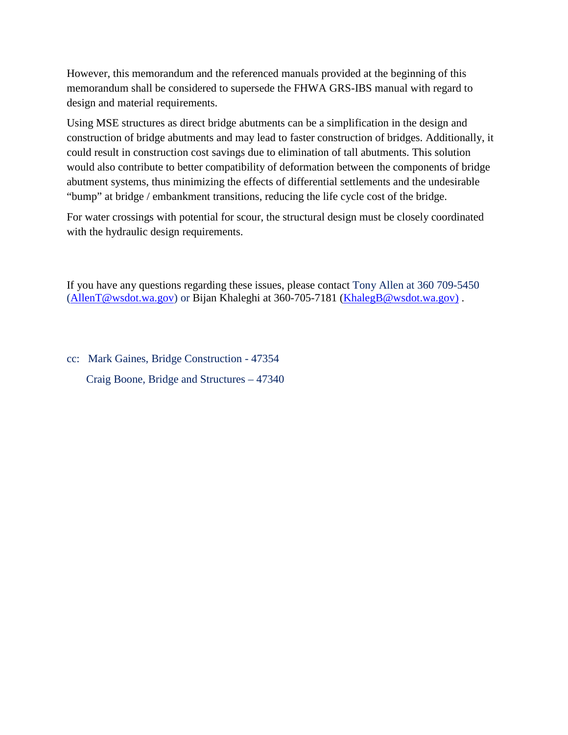However, this memorandum and the referenced manuals provided at the beginning of this memorandum shall be considered to supersede the FHWA GRS-IBS manual with regard to design and material requirements.

Using MSE structures as direct bridge abutments can be a simplification in the design and construction of bridge abutments and may lead to faster construction of bridges. Additionally, it could result in construction cost savings due to elimination of tall abutments. This solution would also contribute to better compatibility of deformation between the components of bridge abutment systems, thus minimizing the effects of differential settlements and the undesirable "bump" at bridge / embankment transitions, reducing the life cycle cost of the bridge.

For water crossings with potential for scour, the structural design must be closely coordinated with the hydraulic design requirements.

If you have any questions regarding these issues, please contact Tony Allen at 360 709-5450 [\(AllenT@wsdot.wa.gov\)](mailto:AllenT@wsdot.wa.gov) or Bijan Khaleghi at 360-705-7181 [\(KhalegB@wsdot.wa.gov\)](mailto:KhalegB@wsdot.wa.gov) .

cc: Mark Gaines, Bridge Construction - 47354 Craig Boone, Bridge and Structures – 47340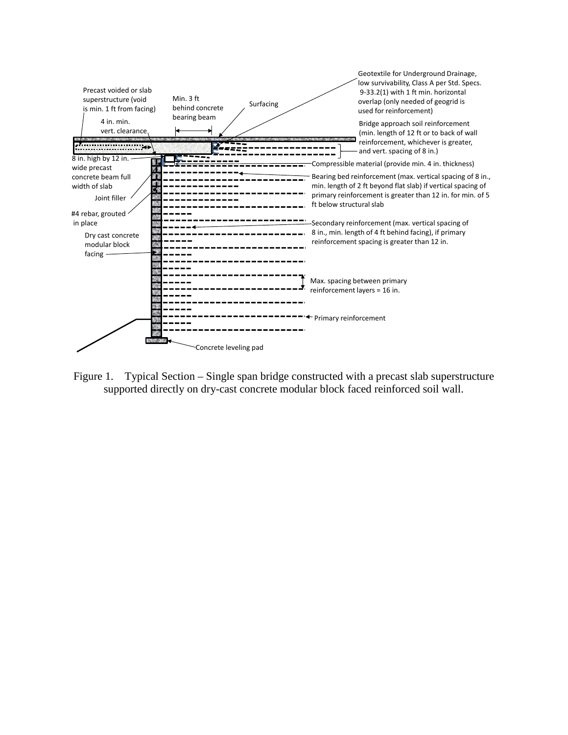

Figure 1. Typical Section – Single span bridge constructed with a precast slab superstructure supported directly on dry-cast concrete modular block faced reinforced soil wall.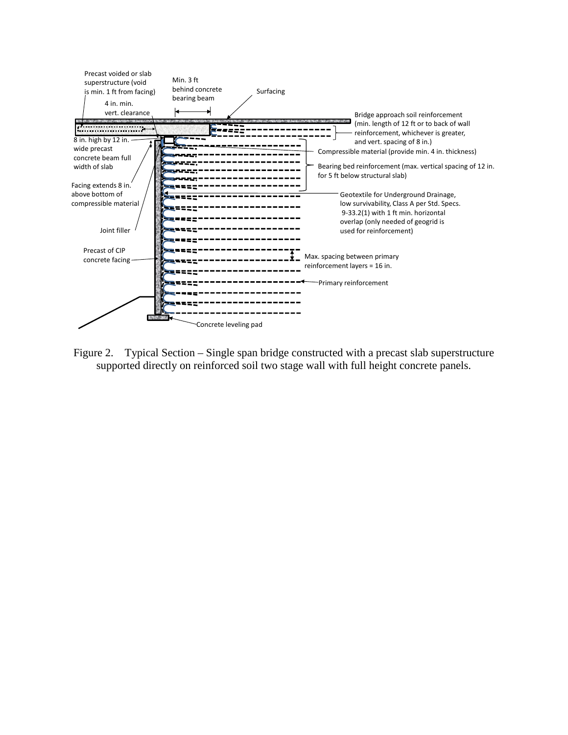

Figure 2. Typical Section – Single span bridge constructed with a precast slab superstructure supported directly on reinforced soil two stage wall with full height concrete panels.